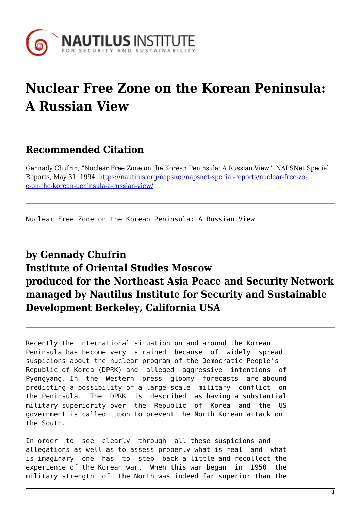

## **Nuclear Free Zone on the Korean Peninsula: A Russian View**

## **Recommended Citation**

Gennady Chufrin, "Nuclear Free Zone on the Korean Peninsula: A Russian View", NAPSNet Special Reports, May 31, 1994, [https://nautilus.org/napsnet/napsnet-special-reports/nuclear-free-zo](https://nautilus.org/napsnet/napsnet-special-reports/nuclear-free-zone-on-the-korean-peninsula-a-russian-view/)[e-on-the-korean-peninsula-a-russian-view/](https://nautilus.org/napsnet/napsnet-special-reports/nuclear-free-zone-on-the-korean-peninsula-a-russian-view/)

Nuclear Free Zone on the Korean Peninsula: A Russian View

## **by Gennady Chufrin Institute of Oriental Studies Moscow produced for the Northeast Asia Peace and Security Network managed by Nautilus Institute for Security and Sustainable Development Berkeley, California USA**

Recently the international situation on and around the Korean Peninsula has become very strained because of widely spread suspicions about the nuclear program of the Democratic People's Republic of Korea (DPRK) and alleged aggressive intentions of Pyongyang. In the Western press gloomy forecasts are abound predicting a possibility of a large-scale military conflict on the Peninsula. The DPRK is described as having a substantial military superiority over the Republic of Korea and the US government is called upon to prevent the North Korean attack on the South.

In order to see clearly through all these suspicions and allegations as well as to assess properly what is real and what is imaginary one has to step back a little and recollect the experience of the Korean war. When this war began in 1950 the military strength of the North was indeed far superior than the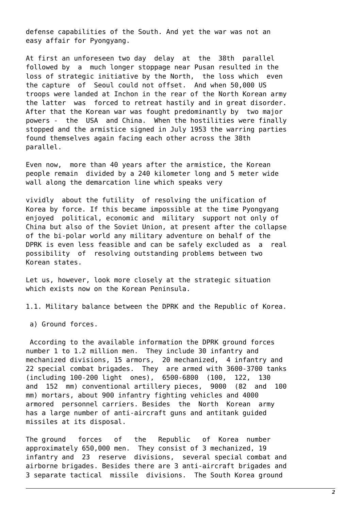defense capabilities of the South. And yet the war was not an easy affair for Pyongyang.

At first an unforeseen two day delay at the 38th parallel followed by a much longer stoppage near Pusan resulted in the loss of strategic initiative by the North, the loss which even the capture of Seoul could not offset. And when 50,000 US troops were landed at Inchon in the rear of the North Korean army the latter was forced to retreat hastily and in great disorder. After that the Korean war was fought predominantly by two major powers - the USA and China. When the hostilities were finally stopped and the armistice signed in July 1953 the warring parties found themselves again facing each other across the 38th parallel.

Even now, more than 40 years after the armistice, the Korean people remain divided by a 240 kilometer long and 5 meter wide wall along the demarcation line which speaks very

vividly about the futility of resolving the unification of Korea by force. If this became impossible at the time Pyongyang enjoyed political, economic and military support not only of China but also of the Soviet Union, at present after the collapse of the bi-polar world any military adventure on behalf of the DPRK is even less feasible and can be safely excluded as a real possibility of resolving outstanding problems between two Korean states.

Let us, however, look more closely at the strategic situation which exists now on the Korean Peninsula.

1.1. Military balance between the DPRK and the Republic of Korea.

a) Ground forces.

 According to the available information the DPRK ground forces number 1 to 1.2 million men. They include 30 infantry and mechanized divisions, 15 armors, 20 mechanized, 4 infantry and 22 special combat brigades. They are armed with 3600-3700 tanks (including 100-200 light ones), 6500-6800 (100, 122, 130 and 152 mm) conventional artillery pieces, 9000 (82 and 100 mm) mortars, about 900 infantry fighting vehicles and 4000 armored personnel carriers. Besides the North Korean army has a large number of anti-aircraft guns and antitank guided missiles at its disposal.

The ground forces of the Republic of Korea number approximately 650,000 men. They consist of 3 mechanized, 19 infantry and 23 reserve divisions, several special combat and airborne brigades. Besides there are 3 anti-aircraft brigades and 3 separate tactical missile divisions. The South Korea ground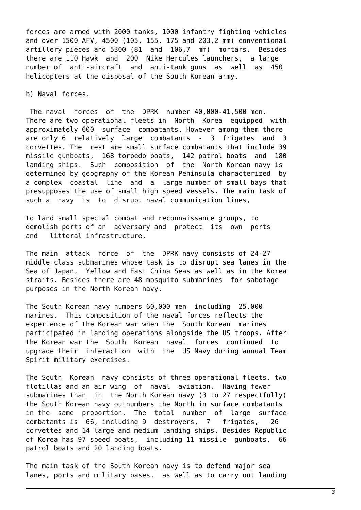forces are armed with 2000 tanks, 1000 infantry fighting vehicles and over 1500 AFV, 4500 (105, 155, 175 and 203,2 mm) conventional artillery pieces and 5300 (81 and 106,7 mm) mortars. Besides there are 110 Hawk and 200 Nike Hercules launchers, a large number of anti-aircraft and anti-tank guns as well as 450 helicopters at the disposal of the South Korean army.

b) Naval forces.

 The naval forces of the DPRK number 40,000-41,500 men. There are two operational fleets in North Korea equipped with approximately 600 surface combatants. However among them there are only 6 relatively large combatants - 3 frigates and 3 corvettes. The rest are small surface combatants that include 39 missile gunboats, 168 torpedo boats, 142 patrol boats and 180 landing ships. Such composition of the North Korean navy is determined by geography of the Korean Peninsula characterized by a complex coastal line and a large number of small bays that presupposes the use of small high speed vessels. The main task of such a navy is to disrupt naval communication lines,

to land small special combat and reconnaissance groups, to demolish ports of an adversary and protect its own ports and littoral infrastructure.

The main attack force of the DPRK navy consists of 24-27 middle class submarines whose task is to disrupt sea lanes in the Sea of Japan, Yellow and East China Seas as well as in the Korea straits. Besides there are 48 mosquito submarines for sabotage purposes in the North Korean navy.

The South Korean navy numbers 60,000 men including 25,000 marines. This composition of the naval forces reflects the experience of the Korean war when the South Korean marines participated in landing operations alongside the US troops. After the Korean war the South Korean naval forces continued to upgrade their interaction with the US Navy during annual Team Spirit military exercises.

The South Korean navy consists of three operational fleets, two flotillas and an air wing of naval aviation. Having fewer submarines than in the North Korean navy (3 to 27 respectfully) the South Korean navy outnumbers the North in surface combatants in the same proportion. The total number of large surface combatants is 66, including 9 destroyers, 7 frigates, 26 corvettes and 14 large and medium landing ships. Besides Republic of Korea has 97 speed boats, including 11 missile gunboats, 66 patrol boats and 20 landing boats.

The main task of the South Korean navy is to defend major sea lanes, ports and military bases, as well as to carry out landing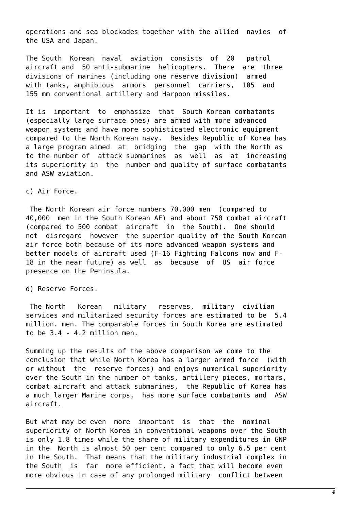operations and sea blockades together with the allied navies of the USA and Japan.

The South Korean naval aviation consists of 20 patrol aircraft and 50 anti-submarine helicopters. There are three divisions of marines (including one reserve division) armed with tanks, amphibious armors personnel carriers, 105 and 155 mm conventional artillery and Harpoon missiles.

It is important to emphasize that South Korean combatants (especially large surface ones) are armed with more advanced weapon systems and have more sophisticated electronic equipment compared to the North Korean navy. Besides Republic of Korea has a large program aimed at bridging the gap with the North as to the number of attack submarines as well as at increasing its superiority in the number and quality of surface combatants and ASW aviation.

c) Air Force.

 The North Korean air force numbers 70,000 men (compared to 40,000 men in the South Korean AF) and about 750 combat aircraft (compared to 500 combat aircraft in the South). One should not disregard however the superior quality of the South Korean air force both because of its more advanced weapon systems and better models of aircraft used (F-16 Fighting Falcons now and F-18 in the near future) as well as because of US air force presence on the Peninsula.

d) Reserve Forces.

 The North Korean military reserves, military civilian services and militarized security forces are estimated to be 5.4 million. men. The comparable forces in South Korea are estimated to be 3.4 - 4.2 million men.

Summing up the results of the above comparison we come to the conclusion that while North Korea has a larger armed force (with or without the reserve forces) and enjoys numerical superiority over the South in the number of tanks, artillery pieces, mortars, combat aircraft and attack submarines, the Republic of Korea has a much larger Marine corps, has more surface combatants and ASW aircraft.

But what may be even more important is that the nominal superiority of North Korea in conventional weapons over the South is only 1.8 times while the share of military expenditures in GNP in the North is almost 50 per cent compared to only 6.5 per cent in the South. That means that the military industrial complex in the South is far more efficient, a fact that will become even more obvious in case of any prolonged military conflict between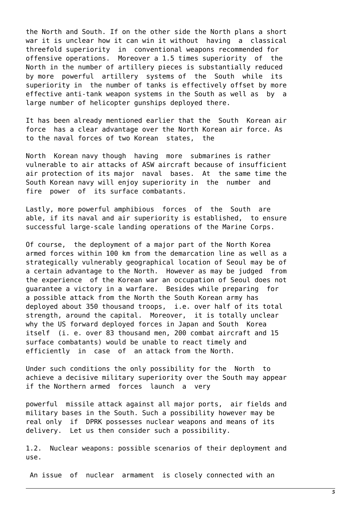the North and South. If on the other side the North plans a short war it is unclear how it can win it without having a classical threefold superiority in conventional weapons recommended for offensive operations. Moreover a 1.5 times superiority of the North in the number of artillery pieces is substantially reduced by more powerful artillery systems of the South while its superiority in the number of tanks is effectively offset by more effective anti-tank weapon systems in the South as well as by a large number of helicopter gunships deployed there.

It has been already mentioned earlier that the South Korean air force has a clear advantage over the North Korean air force. As to the naval forces of two Korean states, the

North Korean navy though having more submarines is rather vulnerable to air attacks of ASW aircraft because of insufficient air protection of its major naval bases. At the same time the South Korean navy will enjoy superiority in the number and fire power of its surface combatants.

Lastly, more powerful amphibious forces of the South are able, if its naval and air superiority is established, to ensure successful large-scale landing operations of the Marine Corps.

Of course, the deployment of a major part of the North Korea armed forces within 100 km from the demarcation line as well as a strategically vulnerably geographical location of Seoul may be of a certain advantage to the North. However as may be judged from the experience of the Korean war an occupation of Seoul does not guarantee a victory in a warfare. Besides while preparing for a possible attack from the North the South Korean army has deployed about 350 thousand troops, i.e. over half of its total strength, around the capital. Moreover, it is totally unclear why the US forward deployed forces in Japan and South Korea itself (i. e. over 83 thousand men, 200 combat aircraft and 15 surface combatants) would be unable to react timely and efficiently in case of an attack from the North.

Under such conditions the only possibility for the North to achieve a decisive military superiority over the South may appear if the Northern armed forces launch a very

powerful missile attack against all major ports, air fields and military bases in the South. Such a possibility however may be real only if DPRK possesses nuclear weapons and means of its delivery. Let us then consider such a possibility.

1.2. Nuclear weapons: possible scenarios of their deployment and use.

An issue of nuclear armament is closely connected with an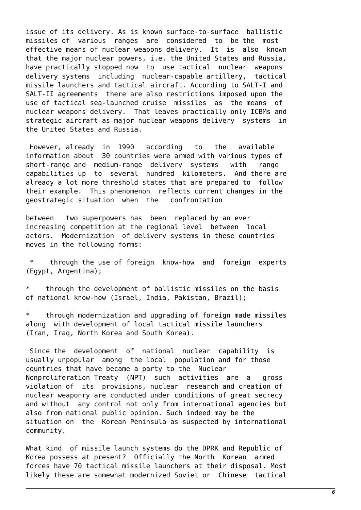issue of its delivery. As is known surface-to-surface ballistic missiles of various ranges are considered to be the most effective means of nuclear weapons delivery. It is also known that the major nuclear powers, i.e. the United States and Russia, have practically stopped now to use tactical nuclear weapons delivery systems including nuclear-capable artillery, tactical missile launchers and tactical aircraft. According to SALT-I and SALT-II agreements there are also restrictions imposed upon the use of tactical sea-launched cruise missiles as the means of nuclear weapons delivery. That leaves practically only ICBMs and strategic aircraft as major nuclear weapons delivery systems in the United States and Russia.

 However, already in 1990 according to the available information about 30 countries were armed with various types of short-range and medium-range delivery systems with range capabilities up to several hundred kilometers. And there are already a lot more threshold states that are prepared to follow their example. This phenomenon reflects current changes in the geostrategic situation when the confrontation

between two superpowers has been replaced by an ever increasing competition at the regional level between local actors. Modernization of delivery systems in these countries moves in the following forms:

 \* through the use of foreign know-how and foreign experts (Egypt, Argentina);

through the development of ballistic missiles on the basis of national know-how (Israel, India, Pakistan, Brazil);

\* through modernization and upgrading of foreign made missiles along with development of local tactical missile launchers (Iran, Iraq, North Korea and South Korea).

 Since the development of national nuclear capability is usually unpopular among the local population and for those countries that have became a party to the Nuclear Nonproliferation Treaty (NPT) such activities are a gross violation of its provisions, nuclear research and creation of nuclear weaponry are conducted under conditions of great secrecy and without any control not only from international agencies but also from national public opinion. Such indeed may be the situation on the Korean Peninsula as suspected by international community.

What kind of missile launch systems do the DPRK and Republic of Korea possess at present? Officially the North Korean armed forces have 70 tactical missile launchers at their disposal. Most likely these are somewhat modernized Soviet or Chinese tactical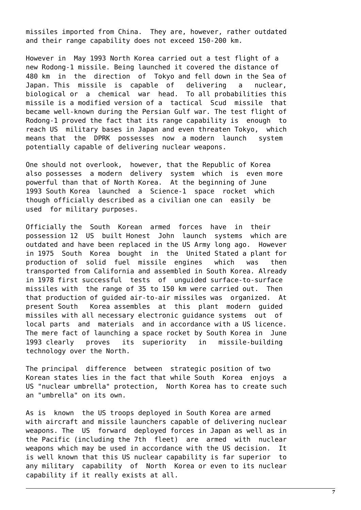missiles imported from China. They are, however, rather outdated and their range capability does not exceed 150-200 km.

However in May 1993 North Korea carried out a test flight of a new Rodong-1 missile. Being launched it covered the distance of 480 km in the direction of Tokyo and fell down in the Sea of Japan. This missile is capable of delivering a nuclear, biological or a chemical war head. To all probabilities this missile is a modified version of a tactical Scud missile that became well-known during the Persian Gulf war. The test flight of Rodong-1 proved the fact that its range capability is enough to reach US military bases in Japan and even threaten Tokyo, which means that the DPRK possesses now a modern launch system potentially capable of delivering nuclear weapons.

One should not overlook, however, that the Republic of Korea also possesses a modern delivery system which is even more powerful than that of North Korea. At the beginning of June 1993 South Korea launched a Science-1 space rocket which though officially described as a civilian one can easily be used for military purposes.

Officially the South Korean armed forces have in their possession 12 US built Honest John launch systems which are outdated and have been replaced in the US Army long ago. However in 1975 South Korea bought in the United Stated a plant for production of solid fuel missile engines which was then transported from California and assembled in South Korea. Already in 1978 first successful tests of unguided surface-to-surface missiles with the range of 35 to 150 km were carried out. Then that production of guided air-to-air missiles was organized. At present South Korea assembles at this plant modern guided missiles with all necessary electronic guidance systems out of local parts and materials and in accordance with a US licence. The mere fact of launching a space rocket by South Korea in June 1993 clearly proves its superiority in missile-building technology over the North.

The principal difference between strategic position of two Korean states lies in the fact that while South Korea enjoys a US "nuclear umbrella" protection, North Korea has to create such an "umbrella" on its own.

As is known the US troops deployed in South Korea are armed with aircraft and missile launchers capable of delivering nuclear weapons. The US forward deployed forces in Japan as well as in the Pacific (including the 7th fleet) are armed with nuclear weapons which may be used in accordance with the US decision. It is well known that this US nuclear capability is far superior to any military capability of North Korea or even to its nuclear capability if it really exists at all.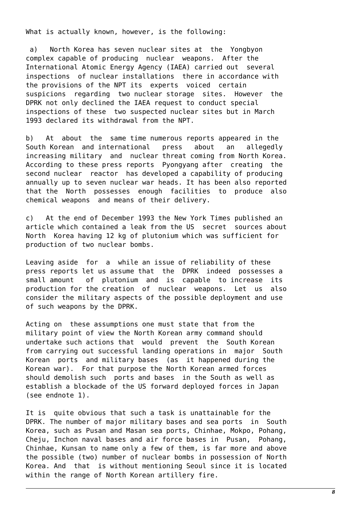What is actually known, however, is the following:

 a) North Korea has seven nuclear sites at the Yongbyon complex capable of producing nuclear weapons. After the International Atomic Energy Agency (IAEA) carried out several inspections of nuclear installations there in accordance with the provisions of the NPT its experts voiced certain suspicions regarding two nuclear storage sites. However the DPRK not only declined the IAEA request to conduct special inspections of these two suspected nuclear sites but in March 1993 declared its withdrawal from the NPT.

b) At about the same time numerous reports appeared in the South Korean and international press about an allegedly increasing military and nuclear threat coming from North Korea. According to these press reports Pyongyang after creating the second nuclear reactor has developed a capability of producing annually up to seven nuclear war heads. It has been also reported that the North possesses enough facilities to produce also chemical weapons and means of their delivery.

c) At the end of December 1993 the New York Times published an article which contained a leak from the US secret sources about North Korea having 12 kg of plutonium which was sufficient for production of two nuclear bombs.

Leaving aside for a while an issue of reliability of these press reports let us assume that the DPRK indeed possesses a small amount of plutonium and is capable to increase its production for the creation of nuclear weapons. Let us also consider the military aspects of the possible deployment and use of such weapons by the DPRK.

Acting on these assumptions one must state that from the military point of view the North Korean army command should undertake such actions that would prevent the South Korean from carrying out successful landing operations in major South Korean ports and military bases (as it happened during the Korean war). For that purpose the North Korean armed forces should demolish such ports and bases in the South as well as establish a blockade of the US forward deployed forces in Japan (see endnote 1).

It is quite obvious that such a task is unattainable for the DPRK. The number of major military bases and sea ports in South Korea, such as Pusan and Masan sea ports, Chinhae, Mokpo, Pohang, Cheju, Inchon naval bases and air force bases in Pusan, Pohang, Chinhae, Kunsan to name only a few of them, is far more and above the possible (two) number of nuclear bombs in possession of North Korea. And that is without mentioning Seoul since it is located within the range of North Korean artillery fire.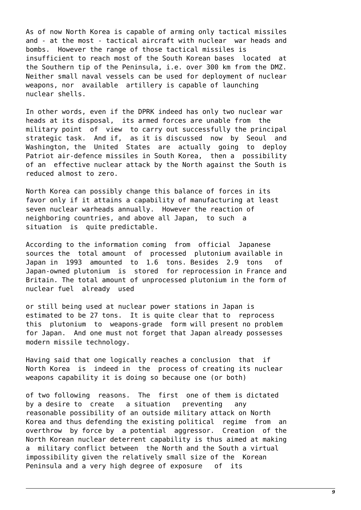As of now North Korea is capable of arming only tactical missiles and - at the most - tactical aircraft with nuclear war heads and bombs. However the range of those tactical missiles is insufficient to reach most of the South Korean bases located at the Southern tip of the Peninsula, i.e. over 300 km from the DMZ. Neither small naval vessels can be used for deployment of nuclear weapons, nor available artillery is capable of launching nuclear shells.

In other words, even if the DPRK indeed has only two nuclear war heads at its disposal, its armed forces are unable from the military point of view to carry out successfully the principal strategic task. And if, as it is discussed now by Seoul and Washington, the United States are actually going to deploy Patriot air-defence missiles in South Korea, then a possibility of an effective nuclear attack by the North against the South is reduced almost to zero.

North Korea can possibly change this balance of forces in its favor only if it attains a capability of manufacturing at least seven nuclear warheads annually. However the reaction of neighboring countries, and above all Japan, to such a situation is quite predictable.

According to the information coming from official Japanese sources the total amount of processed plutonium available in Japan in 1993 amounted to 1.6 tons. Besides 2.9 tons of Japan-owned plutonium is stored for reprocession in France and Britain. The total amount of unprocessed plutonium in the form of nuclear fuel already used

or still being used at nuclear power stations in Japan is estimated to be 27 tons. It is quite clear that to reprocess this plutonium to weapons-grade form will present no problem for Japan. And one must not forget that Japan already possesses modern missile technology.

Having said that one logically reaches a conclusion that if North Korea is indeed in the process of creating its nuclear weapons capability it is doing so because one (or both)

of two following reasons. The first one of them is dictated by a desire to create a situation preventing any reasonable possibility of an outside military attack on North Korea and thus defending the existing political regime from an overthrow by force by a potential aggressor. Creation of the North Korean nuclear deterrent capability is thus aimed at making a military conflict between the North and the South a virtual impossibility given the relatively small size of the Korean Peninsula and a very high degree of exposure of its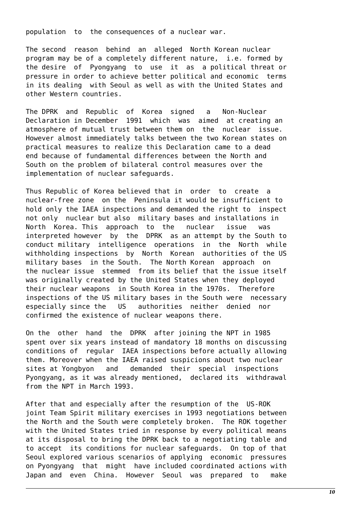population to the consequences of a nuclear war.

The second reason behind an alleged North Korean nuclear program may be of a completely different nature, i.e. formed by the desire of Pyongyang to use it as a political threat or pressure in order to achieve better political and economic terms in its dealing with Seoul as well as with the United States and other Western countries.

The DPRK and Republic of Korea signed a Non-Nuclear Declaration in December 1991 which was aimed at creating an atmosphere of mutual trust between them on the nuclear issue. However almost immediately talks between the two Korean states on practical measures to realize this Declaration came to a dead end because of fundamental differences between the North and South on the problem of bilateral control measures over the implementation of nuclear safeguards.

Thus Republic of Korea believed that in order to create a nuclear-free zone on the Peninsula it would be insufficient to hold only the IAEA inspections and demanded the right to inspect not only nuclear but also military bases and installations in North Korea. This approach to the nuclear issue was interpreted however by the DPRK as an attempt by the South to conduct military intelligence operations in the North while withholding inspections by North Korean authorities of the US military bases in the South. The North Korean approach on the nuclear issue stemmed from its belief that the issue itself was originally created by the United States when they deployed their nuclear weapons in South Korea in the 1970s. Therefore inspections of the US military bases in the South were necessary especially since the US authorities neither denied nor confirmed the existence of nuclear weapons there.

On the other hand the DPRK after joining the NPT in 1985 spent over six years instead of mandatory 18 months on discussing conditions of regular IAEA inspections before actually allowing them. Moreover when the IAEA raised suspicions about two nuclear sites at Yongbyon and demanded their special inspections Pyongyang, as it was already mentioned, declared its withdrawal from the NPT in March 1993.

After that and especially after the resumption of the US-ROK joint Team Spirit military exercises in 1993 negotiations between the North and the South were completely broken. The ROK together with the United States tried in response by every political means at its disposal to bring the DPRK back to a negotiating table and to accept its conditions for nuclear safeguards. On top of that Seoul explored various scenarios of applying economic pressures on Pyongyang that might have included coordinated actions with Japan and even China. However Seoul was prepared to make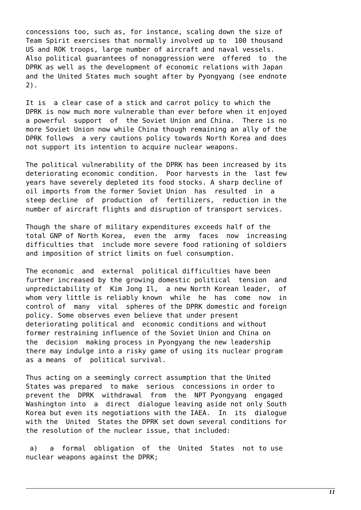concessions too, such as, for instance, scaling down the size of Team Spirit exercises that normally involved up to 100 thousand US and ROK troops, large number of aircraft and naval vessels. Also political guarantees of nonaggression were offered to the DPRK as well as the development of economic relations with Japan and the United States much sought after by Pyongyang (see endnote 2).

It is a clear case of a stick and carrot policy to which the DPRK is now much more vulnerable than ever before when it enjoyed a powerful support of the Soviet Union and China. There is no more Soviet Union now while China though remaining an ally of the DPRK follows a very cautions policy towards North Korea and does not support its intention to acquire nuclear weapons.

The political vulnerability of the DPRK has been increased by its deteriorating economic condition. Poor harvests in the last few years have severely depleted its food stocks. A sharp decline of oil imports from the former Soviet Union has resulted in a steep decline of production of fertilizers, reduction in the number of aircraft flights and disruption of transport services.

Though the share of military expenditures exceeds half of the total GNP of North Korea, even the army faces now increasing difficulties that include more severe food rationing of soldiers and imposition of strict limits on fuel consumption.

The economic and external political difficulties have been further increased by the growing domestic political tension and unpredictability of Kim Jong Il, a new North Korean leader, of whom very little is reliably known while he has come now in control of many vital spheres of the DPRK domestic and foreign policy. Some observes even believe that under present deteriorating political and economic conditions and without former restraining influence of the Soviet Union and China on the decision making process in Pyongyang the new leadership there may indulge into a risky game of using its nuclear program as a means of political survival.

Thus acting on a seemingly correct assumption that the United States was prepared to make serious concessions in order to prevent the DPRK withdrawal from the NPT Pyongyang engaged Washington into a direct dialogue leaving aside not only South Korea but even its negotiations with the IAEA. In its dialogue with the United States the DPRK set down several conditions for the resolution of the nuclear issue, that included:

 a) a formal obligation of the United States not to use nuclear weapons against the DPRK;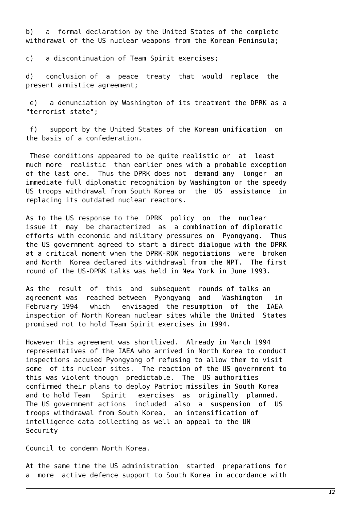b) a formal declaration by the United States of the complete withdrawal of the US nuclear weapons from the Korean Peninsula;

c) a discontinuation of Team Spirit exercises;

d) conclusion of a peace treaty that would replace the present armistice agreement;

 e) a denunciation by Washington of its treatment the DPRK as a "terrorist state";

 f) support by the United States of the Korean unification on the basis of a confederation.

 These conditions appeared to be quite realistic or at least much more realistic than earlier ones with a probable exception of the last one. Thus the DPRK does not demand any longer an immediate full diplomatic recognition by Washington or the speedy US troops withdrawal from South Korea or the US assistance in replacing its outdated nuclear reactors.

As to the US response to the DPRK policy on the nuclear issue it may be characterized as a combination of diplomatic efforts with economic and military pressures on Pyongyang. Thus the US government agreed to start a direct dialogue with the DPRK at a critical moment when the DPRK-ROK negotiations were broken and North Korea declared its withdrawal from the NPT. The first round of the US-DPRK talks was held in New York in June 1993.

As the result of this and subsequent rounds of talks an agreement was reached between Pyongyang and Washington in February 1994 which envisaged the resumption of the IAEA inspection of North Korean nuclear sites while the United States promised not to hold Team Spirit exercises in 1994.

However this agreement was shortlived. Already in March 1994 representatives of the IAEA who arrived in North Korea to conduct inspections accused Pyongyang of refusing to allow them to visit some of its nuclear sites. The reaction of the US government to this was violent though predictable. The US authorities confirmed their plans to deploy Patriot missiles in South Korea and to hold Team Spirit exercises as originally planned. The US government actions included also a suspension of US troops withdrawal from South Korea, an intensification of intelligence data collecting as well an appeal to the UN Security

Council to condemn North Korea.

At the same time the US administration started preparations for a more active defence support to South Korea in accordance with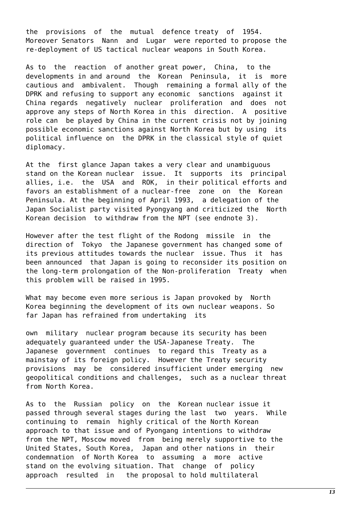the provisions of the mutual defence treaty of 1954. Moreover Senators Nann and Lugar were reported to propose the re-deployment of US tactical nuclear weapons in South Korea.

As to the reaction of another great power, China, to the developments in and around the Korean Peninsula, it is more cautious and ambivalent. Though remaining a formal ally of the DPRK and refusing to support any economic sanctions against it China regards negatively nuclear proliferation and does not approve any steps of North Korea in this direction. A positive role can be played by China in the current crisis not by joining possible economic sanctions against North Korea but by using its political influence on the DPRK in the classical style of quiet diplomacy.

At the first glance Japan takes a very clear and unambiguous stand on the Korean nuclear issue. It supports its principal allies, i.e. the USA and ROK, in their political efforts and favors an establishment of a nuclear-free zone on the Korean Peninsula. At the beginning of April 1993, a delegation of the Japan Socialist party visited Pyongyang and criticized the North Korean decision to withdraw from the NPT (see endnote 3).

However after the test flight of the Rodong missile in the direction of Tokyo the Japanese government has changed some of its previous attitudes towards the nuclear issue. Thus it has been announced that Japan is going to reconsider its position on the long-term prolongation of the Non-proliferation Treaty when this problem will be raised in 1995.

What may become even more serious is Japan provoked by North Korea beginning the development of its own nuclear weapons. So far Japan has refrained from undertaking its

own military nuclear program because its security has been adequately guaranteed under the USA-Japanese Treaty. The Japanese government continues to regard this Treaty as a mainstay of its foreign policy. However the Treaty security provisions may be considered insufficient under emerging new geopolitical conditions and challenges, such as a nuclear threat from North Korea.

As to the Russian policy on the Korean nuclear issue it passed through several stages during the last two years. While continuing to remain highly critical of the North Korean approach to that issue and of Pyongang intentions to withdraw from the NPT, Moscow moved from being merely supportive to the United States, South Korea, Japan and other nations in their condemnation of North Korea to assuming a more active stand on the evolving situation. That change of policy approach resulted in the proposal to hold multilateral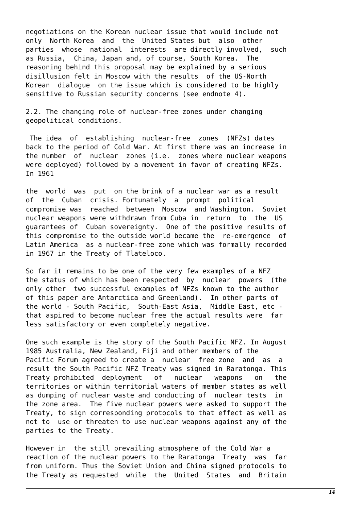negotiations on the Korean nuclear issue that would include not only North Korea and the United States but also other parties whose national interests are directly involved, such as Russia, China, Japan and, of course, South Korea. The reasoning behind this proposal may be explained by a serious disillusion felt in Moscow with the results of the US-North Korean dialogue on the issue which is considered to be highly sensitive to Russian security concerns (see endnote 4).

2.2. The changing role of nuclear-free zones under changing geopolitical conditions.

 The idea of establishing nuclear-free zones (NFZs) dates back to the period of Cold War. At first there was an increase in the number of nuclear zones (i.e. zones where nuclear weapons were deployed) followed by a movement in favor of creating NFZs. In 1961

the world was put on the brink of a nuclear war as a result of the Cuban crisis. Fortunately a prompt political compromise was reached between Moscow and Washington. Soviet nuclear weapons were withdrawn from Cuba in return to the US guarantees of Cuban sovereignty. One of the positive results of this compromise to the outside world became the re-emergence of Latin America as a nuclear-free zone which was formally recorded in 1967 in the Treaty of Tlateloco.

So far it remains to be one of the very few examples of a NFZ the status of which has been respected by nuclear powers (the only other two successful examples of NFZs known to the author of this paper are Antarctica and Greenland). In other parts of the world - South Pacific, South-East Asia, Middle East, etc that aspired to become nuclear free the actual results were far less satisfactory or even completely negative.

One such example is the story of the South Pacific NFZ. In August 1985 Australia, New Zealand, Fiji and other members of the Pacific Forum agreed to create a nuclear free zone and as a result the South Pacific NFZ Treaty was signed in Raratonga. This Treaty prohibited deployment of nuclear weapons on the territories or within territorial waters of member states as well as dumping of nuclear waste and conducting of nuclear tests in the zone area. The five nuclear powers were asked to support the Treaty, to sign corresponding protocols to that effect as well as not to use or threaten to use nuclear weapons against any of the parties to the Treaty.

However in the still prevailing atmosphere of the Cold War a reaction of the nuclear powers to the Raratonga Treaty was far from uniform. Thus the Soviet Union and China signed protocols to the Treaty as requested while the United States and Britain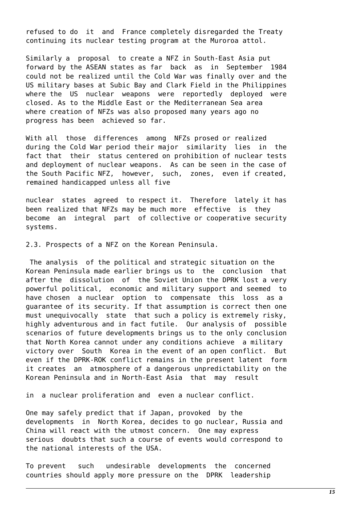refused to do it and France completely disregarded the Treaty continuing its nuclear testing program at the Muroroa attol.

Similarly a proposal to create a NFZ in South-East Asia put forward by the ASEAN states as far back as in September 1984 could not be realized until the Cold War was finally over and the US military bases at Subic Bay and Clark Field in the Philippines where the US nuclear weapons were reportedly deployed were closed. As to the Middle East or the Mediterranean Sea area where creation of NFZs was also proposed many years ago no progress has been achieved so far.

With all those differences among NFZs prosed or realized during the Cold War period their major similarity lies in the fact that their status centered on prohibition of nuclear tests and deployment of nuclear weapons. As can be seen in the case of the South Pacific NFZ, however, such, zones, even if created, remained handicapped unless all five

nuclear states agreed to respect it. Therefore lately it has been realized that NFZs may be much more effective is they become an integral part of collective or cooperative security systems.

2.3. Prospects of a NFZ on the Korean Peninsula.

 The analysis of the political and strategic situation on the Korean Peninsula made earlier brings us to the conclusion that after the dissolution of the Soviet Union the DPRK lost a very powerful political, economic and military support and seemed to have chosen a nuclear option to compensate this loss as a guarantee of its security. If that assumption is correct then one must unequivocally state that such a policy is extremely risky, highly adventurous and in fact futile. Our analysis of possible scenarios of future developments brings us to the only conclusion that North Korea cannot under any conditions achieve a military victory over South Korea in the event of an open conflict. But even if the DPRK-ROK conflict remains in the present latent form it creates an atmosphere of a dangerous unpredictability on the Korean Peninsula and in North-East Asia that may result

in a nuclear proliferation and even a nuclear conflict.

One may safely predict that if Japan, provoked by the developments in North Korea, decides to go nuclear, Russia and China will react with the utmost concern. One may express serious doubts that such a course of events would correspond to the national interests of the USA.

To prevent such undesirable developments the concerned countries should apply more pressure on the DPRK leadership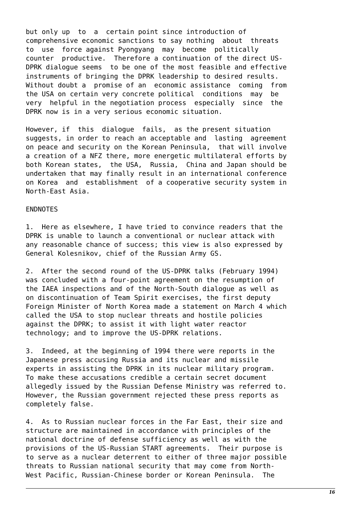but only up to a certain point since introduction of comprehensive economic sanctions to say nothing about threats to use force against Pyongyang may become politically counter productive. Therefore a continuation of the direct US-DPRK dialogue seems to be one of the most feasible and effective instruments of bringing the DPRK leadership to desired results. Without doubt a promise of an economic assistance coming from the USA on certain very concrete political conditions may be very helpful in the negotiation process especially since the DPRK now is in a very serious economic situation.

However, if this dialogue fails, as the present situation suggests, in order to reach an acceptable and lasting agreement on peace and security on the Korean Peninsula, that will involve a creation of a NFZ there, more energetic multilateral efforts by both Korean states, the USA, Russia, China and Japan should be undertaken that may finally result in an international conference on Korea and establishment of a cooperative security system in North-East Asia.

## ENDNOTES

1. Here as elsewhere, I have tried to convince readers that the DPRK is unable to launch a conventional or nuclear attack with any reasonable chance of success; this view is also expressed by General Kolesnikov, chief of the Russian Army GS.

2. After the second round of the US-DPRK talks (February 1994) was concluded with a four-point agreement on the resumption of the IAEA inspections and of the North-South dialogue as well as on discontinuation of Team Spirit exercises, the first deputy Foreign Minister of North Korea made a statement on March 4 which called the USA to stop nuclear threats and hostile policies against the DPRK; to assist it with light water reactor technology; and to improve the US-DPRK relations.

3. Indeed, at the beginning of 1994 there were reports in the Japanese press accusing Russia and its nuclear and missile experts in assisting the DPRK in its nuclear military program. To make these accusations credible a certain secret document allegedly issued by the Russian Defense Ministry was referred to. However, the Russian government rejected these press reports as completely false.

4. As to Russian nuclear forces in the Far East, their size and structure are maintained in accordance with principles of the national doctrine of defense sufficiency as well as with the provisions of the US-Russian START agreements. Their purpose is to serve as a nuclear deterrent to either of three major possible threats to Russian national security that may come from North-West Pacific, Russian-Chinese border or Korean Peninsula. The